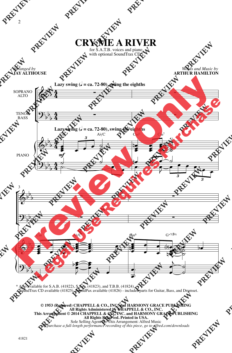

for S.A.T.B. voices and piano with optional SoundTrax CD\*

*Arranged by* **JAY ALTHOUSE**

*Words and Music by* **ARTHUR HAMILTON**



\* Also available for S.A.B. (41822), S.S.A. (41823), and T.B.B. (41824). SoundTrax CD available (41825). SoundPax available (41826) - includes parts for Guitar, Bass, and Drumset.

## **© 1953 (Renewed) CHAPPELL & CO., INC. and HARMONY GRACE PUBLISHING All Rights Administered by CHAPPELL & CO., INC. This Arrangement © 2014 CHAPPELL & CO., INC. and HARMONY GRACE PUBLISHING All Rights Reserved. Printed in USA.** Sole Selling Agent for This Arrangement: Alfred Music *To purchase a full-length performance recording of this piece, go to alfred.com/downloads*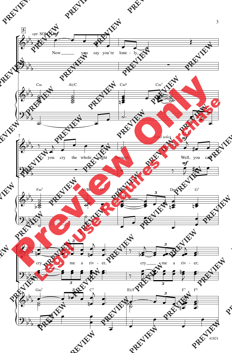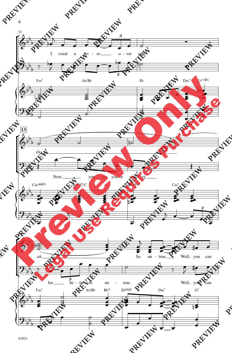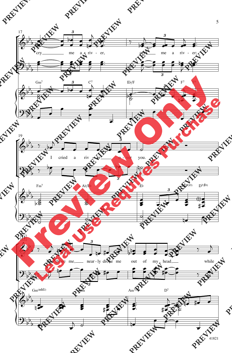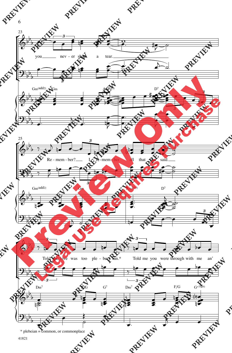



 $\sqrt{6}$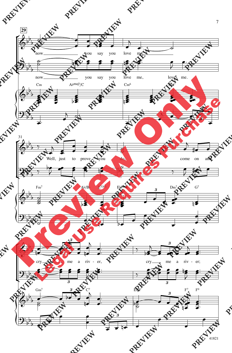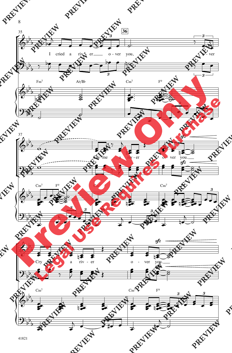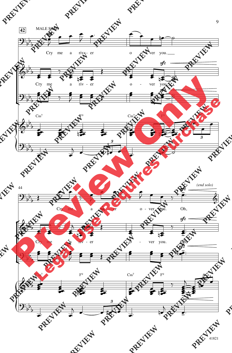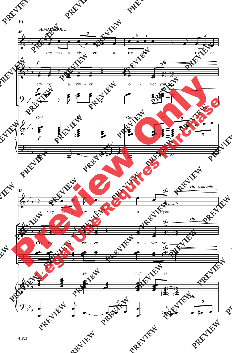